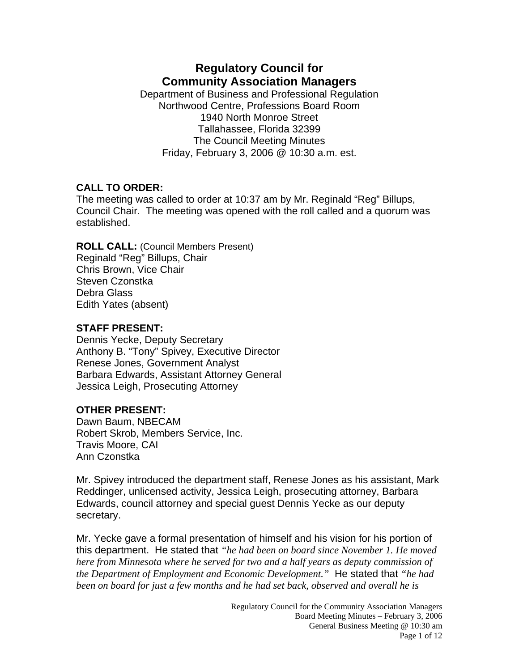# **Regulatory Council for Community Association Managers**

Department of Business and Professional Regulation Northwood Centre, Professions Board Room 1940 North Monroe Street Tallahassee, Florida 32399 The Council Meeting Minutes Friday, February 3, 2006 @ 10:30 a.m. est.

#### **CALL TO ORDER:**

The meeting was called to order at 10:37 am by Mr. Reginald "Reg" Billups, Council Chair. The meeting was opened with the roll called and a quorum was established.

**ROLL CALL:** (Council Members Present) Reginald "Reg" Billups, Chair Chris Brown, Vice Chair Steven Czonstka Debra Glass Edith Yates (absent)

## **STAFF PRESENT:**

Dennis Yecke, Deputy Secretary Anthony B. "Tony" Spivey, Executive Director Renese Jones, Government Analyst Barbara Edwards, Assistant Attorney General Jessica Leigh, Prosecuting Attorney

# **OTHER PRESENT:**

Dawn Baum, NBECAM Robert Skrob, Members Service, Inc. Travis Moore, CAI Ann Czonstka

Mr. Spivey introduced the department staff, Renese Jones as his assistant, Mark Reddinger, unlicensed activity, Jessica Leigh, prosecuting attorney, Barbara Edwards, council attorney and special guest Dennis Yecke as our deputy secretary.

Mr. Yecke gave a formal presentation of himself and his vision for his portion of this department. He stated that *"he had been on board since November 1. He moved here from Minnesota where he served for two and a half years as deputy commission of the Department of Employment and Economic Development."* He stated that *"he had been on board for just a few months and he had set back, observed and overall he is*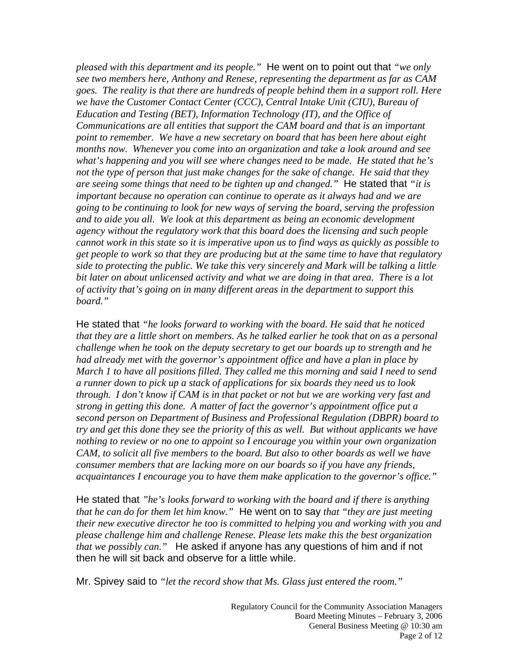*pleased with this department and its people."* He went on to point out that *"we only see two members here, Anthony and Renese, representing the department as far as CAM goes. The reality is that there are hundreds of people behind them in a support roll. Here we have the Customer Contact Center (CCC), Central Intake Unit (CIU), Bureau of Education and Testing (BET), Information Technology (IT), and the Office of Communications are all entities that support the CAM board and that is an important point to remember. We have a new secretary on board that has been here about eight months now. Whenever you come into an organization and take a look around and see what's happening and you will see where changes need to be made. He stated that he's not the type of person that just make changes for the sake of change. He said that they are seeing some things that need to be tighten up and changed."* He stated that *"it is important because no operation can continue to operate as it always had and we are going to be continuing to look for new ways of serving the board, serving the profession and to aide you all. We look at this department as being an economic development agency without the regulatory work that this board does the licensing and such people cannot work in this state so it is imperative upon us to find ways as quickly as possible to get people to work so that they are producing but at the same time to have that regulatory side to protecting the public. We take this very sincerely and Mark will be talking a little bit later on about unlicensed activity and what we are doing in that area. There is a lot of activity that's going on in many different areas in the department to support this board."*

He stated that *"he looks forward to working with the board. He said that he noticed that they are a little short on members. As he talked earlier he took that on as a personal challenge when he took on the deputy secretary to get our boards up to strength and he had already met with the governor's appointment office and have a plan in place by March 1 to have all positions filled. They called me this morning and said I need to send a runner down to pick up a stack of applications for six boards they need us to look through. I don't know if CAM is in that packet or not but we are working very fast and strong in getting this done. A matter of fact the governor's appointment office put a second person on Department of Business and Professional Regulation (DBPR) board to try and get this done they see the priority of this as well. But without applicants we have nothing to review or no one to appoint so I encourage you within your own organization CAM, to solicit all five members to the board. But also to other boards as well we have consumer members that are lacking more on our boards so if you have any friends, acquaintances I encourage you to have them make application to the governor's office."*

He stated that *"he's looks forward to working with the board and if there is anything that he can do for them let him know."* He went on to say *that "they are just meeting their new executive director he too is committed to helping you and working with you and please challenge him and challenge Renese. Please lets make this the best organization that we possibly can."* He asked if anyone has any questions of him and if not then he will sit back and observe for a little while.

Mr. Spivey said to *"let the record show that Ms. Glass just entered the room."*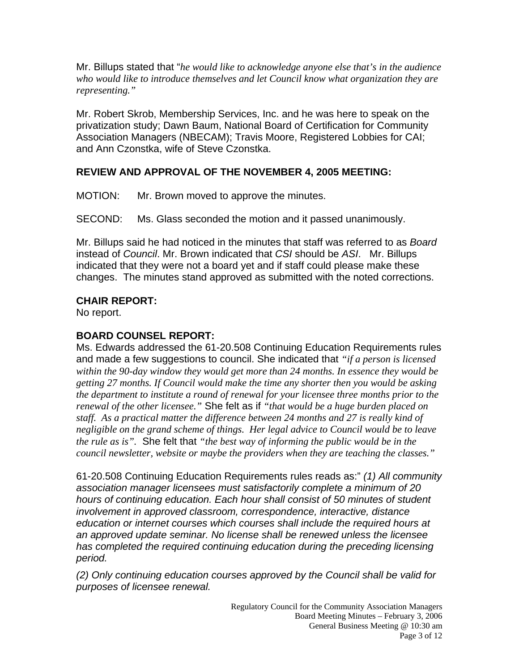Mr. Billups stated that "*he would like to acknowledge anyone else that's in the audience who would like to introduce themselves and let Council know what organization they are representing."* 

Mr. Robert Skrob, Membership Services, Inc. and he was here to speak on the privatization study; Dawn Baum, National Board of Certification for Community Association Managers (NBECAM); Travis Moore, Registered Lobbies for CAI; and Ann Czonstka, wife of Steve Czonstka.

#### **REVIEW AND APPROVAL OF THE NOVEMBER 4, 2005 MEETING:**

MOTION: Mr. Brown moved to approve the minutes.

SECOND: Ms. Glass seconded the motion and it passed unanimously.

Mr. Billups said he had noticed in the minutes that staff was referred to as *Board* instead of *Council*. Mr. Brown indicated that *CSI* should be *ASI*. Mr. Billups indicated that they were not a board yet and if staff could please make these changes. The minutes stand approved as submitted with the noted corrections.

## **CHAIR REPORT:**

No report.

### **BOARD COUNSEL REPORT:**

Ms. Edwards addressed the 61-20.508 Continuing Education Requirements rules and made a few suggestions to council. She indicated that *"if a person is licensed within the 90-day window they would get more than 24 months. In essence they would be getting 27 months. If Council would make the time any shorter then you would be asking the department to institute a round of renewal for your licensee three months prior to the renewal of the other licensee."* She felt as if *"that would be a huge burden placed on staff. As a practical matter the difference between 24 months and 27 is really kind of negligible on the grand scheme of things. Her legal advice to Council would be to leave the rule as is".* She felt that *"the best way of informing the public would be in the council newsletter, website or maybe the providers when they are teaching the classes."* 

61-20.508 Continuing Education Requirements rules reads as:" *(1) All community association manager licensees must satisfactorily complete a minimum of 20 hours of continuing education. Each hour shall consist of 50 minutes of student involvement in approved classroom, correspondence, interactive, distance education or internet courses which courses shall include the required hours at an approved update seminar. No license shall be renewed unless the licensee has completed the required continuing education during the preceding licensing period.* 

*(2) Only continuing education courses approved by the Council shall be valid for purposes of licensee renewal.*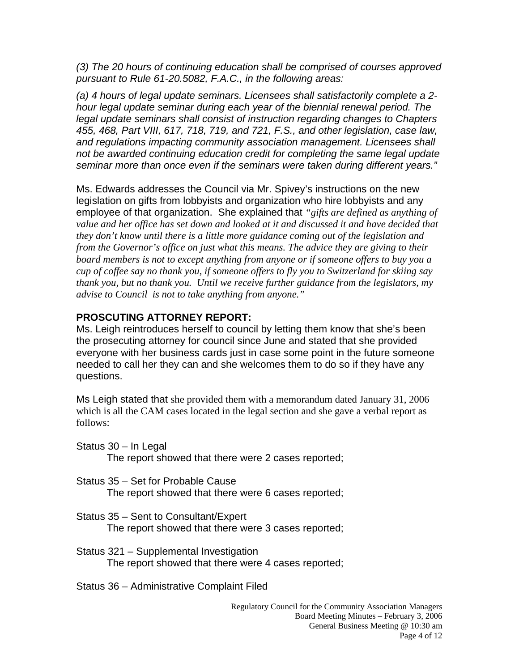*(3) The 20 hours of continuing education shall be comprised of courses approved pursuant to Rule 61-20.5082, F.A.C., in the following areas:* 

*(a) 4 hours of legal update seminars. Licensees shall satisfactorily complete a 2 hour legal update seminar during each year of the biennial renewal period. The legal update seminars shall consist of instruction regarding changes to Chapters 455, 468, Part VIII, 617, 718, 719, and 721, F.S., and other legislation, case law, and regulations impacting community association management. Licensees shall not be awarded continuing education credit for completing the same legal update seminar more than once even if the seminars were taken during different years."* 

Ms. Edwards addresses the Council via Mr. Spivey's instructions on the new legislation on gifts from lobbyists and organization who hire lobbyists and any employee of that organization. She explained that *"gifts are defined as anything of value and her office has set down and looked at it and discussed it and have decided that they don't know until there is a little more guidance coming out of the legislation and from the Governor's office on just what this means. The advice they are giving to their board members is not to except anything from anyone or if someone offers to buy you a cup of coffee say no thank you, if someone offers to fly you to Switzerland for skiing say thank you, but no thank you. Until we receive further guidance from the legislators, my advise to Council is not to take anything from anyone."* 

## **PROSCUTING ATTORNEY REPORT:**

Ms. Leigh reintroduces herself to council by letting them know that she's been the prosecuting attorney for council since June and stated that she provided everyone with her business cards just in case some point in the future someone needed to call her they can and she welcomes them to do so if they have any questions.

Ms Leigh stated that she provided them with a memorandum dated January 31, 2006 which is all the CAM cases located in the legal section and she gave a verbal report as follows:

- Status 30 In Legal The report showed that there were 2 cases reported;
- Status 35 Set for Probable Cause The report showed that there were 6 cases reported;
- Status 35 Sent to Consultant/Expert The report showed that there were 3 cases reported;
- Status 321 Supplemental Investigation The report showed that there were 4 cases reported;

Status 36 – Administrative Complaint Filed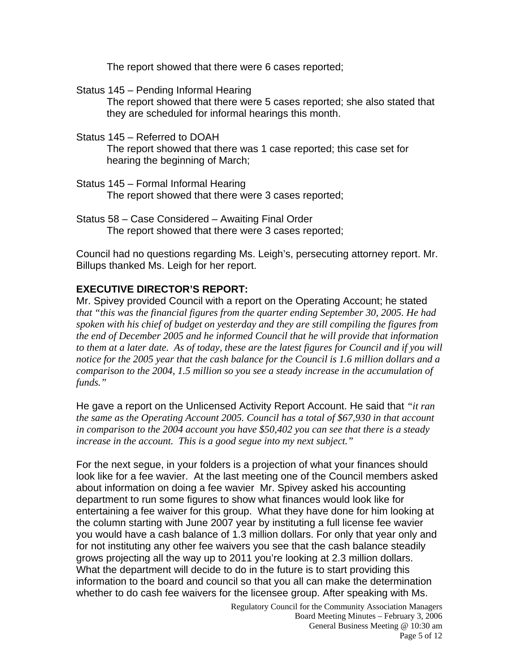The report showed that there were 6 cases reported;

Status 145 – Pending Informal Hearing

The report showed that there were 5 cases reported; she also stated that they are scheduled for informal hearings this month.

Status 145 – Referred to DOAH

The report showed that there was 1 case reported; this case set for hearing the beginning of March;

- Status 145 Formal Informal Hearing The report showed that there were 3 cases reported;
- Status 58 Case Considered Awaiting Final Order The report showed that there were 3 cases reported;

Council had no questions regarding Ms. Leigh's, persecuting attorney report. Mr. Billups thanked Ms. Leigh for her report.

#### **EXECUTIVE DIRECTOR'S REPORT:**

Mr. Spivey provided Council with a report on the Operating Account; he stated *that "this was the financial figures from the quarter ending September 30, 2005. He had spoken with his chief of budget on yesterday and they are still compiling the figures from the end of December 2005 and he informed Council that he will provide that information*  to them at a later date. As of today, these are the latest figures for Council and if you will *notice for the 2005 year that the cash balance for the Council is 1.6 million dollars and a comparison to the 2004, 1.5 million so you see a steady increase in the accumulation of funds."* 

He gave a report on the Unlicensed Activity Report Account. He said that *"it ran the same as the Operating Account 2005. Council has a total of \$67,930 in that account in comparison to the 2004 account you have \$50,402 you can see that there is a steady increase in the account. This is a good segue into my next subject."* 

For the next segue, in your folders is a projection of what your finances should look like for a fee wavier. At the last meeting one of the Council members asked about information on doing a fee wavier Mr. Spivey asked his accounting department to run some figures to show what finances would look like for entertaining a fee waiver for this group. What they have done for him looking at the column starting with June 2007 year by instituting a full license fee wavier you would have a cash balance of 1.3 million dollars. For only that year only and for not instituting any other fee waivers you see that the cash balance steadily grows projecting all the way up to 2011 you're looking at 2.3 million dollars. What the department will decide to do in the future is to start providing this information to the board and council so that you all can make the determination whether to do cash fee waivers for the licensee group. After speaking with Ms.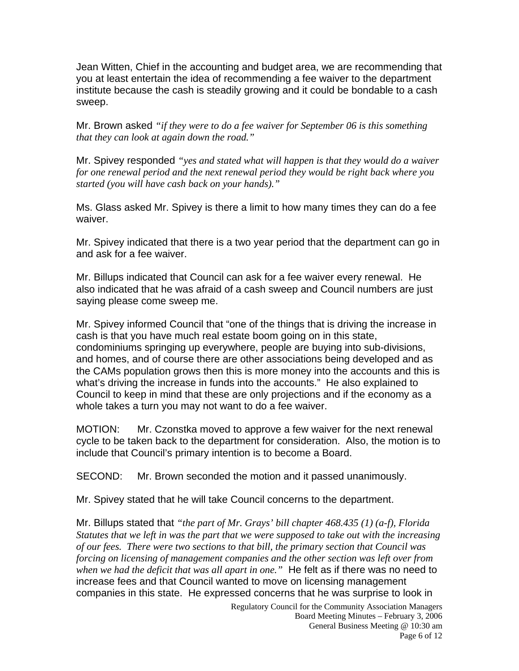Jean Witten, Chief in the accounting and budget area, we are recommending that you at least entertain the idea of recommending a fee waiver to the department institute because the cash is steadily growing and it could be bondable to a cash sweep.

Mr. Brown asked *"if they were to do a fee waiver for September 06 is this something that they can look at again down the road."* 

Mr. Spivey responded *"yes and stated what will happen is that they would do a waiver for one renewal period and the next renewal period they would be right back where you started (you will have cash back on your hands)."* 

Ms. Glass asked Mr. Spivey is there a limit to how many times they can do a fee waiver.

Mr. Spivey indicated that there is a two year period that the department can go in and ask for a fee waiver.

Mr. Billups indicated that Council can ask for a fee waiver every renewal. He also indicated that he was afraid of a cash sweep and Council numbers are just saying please come sweep me.

Mr. Spivey informed Council that "one of the things that is driving the increase in cash is that you have much real estate boom going on in this state, condominiums springing up everywhere, people are buying into sub-divisions, and homes, and of course there are other associations being developed and as the CAMs population grows then this is more money into the accounts and this is what's driving the increase in funds into the accounts." He also explained to Council to keep in mind that these are only projections and if the economy as a whole takes a turn you may not want to do a fee waiver.

MOTION: Mr. Czonstka moved to approve a few waiver for the next renewal cycle to be taken back to the department for consideration. Also, the motion is to include that Council's primary intention is to become a Board.

SECOND: Mr. Brown seconded the motion and it passed unanimously.

Mr. Spivey stated that he will take Council concerns to the department.

Mr. Billups stated that *"the part of Mr. Grays' bill chapter 468.435 (1) (a-f), Florida Statutes that we left in was the part that we were supposed to take out with the increasing of our fees. There were two sections to that bill, the primary section that Council was forcing on licensing of management companies and the other section was left over from when we had the deficit that was all apart in one."* He felt as if there was no need to increase fees and that Council wanted to move on licensing management companies in this state. He expressed concerns that he was surprise to look in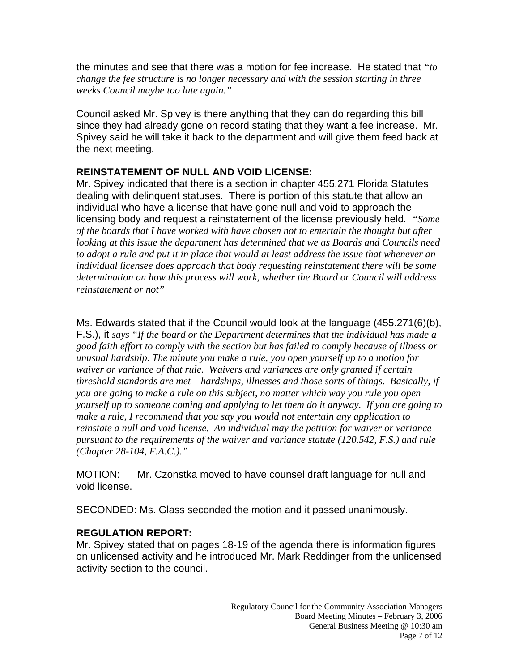the minutes and see that there was a motion for fee increase. He stated that *"to change the fee structure is no longer necessary and with the session starting in three weeks Council maybe too late again."* 

Council asked Mr. Spivey is there anything that they can do regarding this bill since they had already gone on record stating that they want a fee increase. Mr. Spivey said he will take it back to the department and will give them feed back at the next meeting.

## **REINSTATEMENT OF NULL AND VOID LICENSE:**

Mr. Spivey indicated that there is a section in chapter 455.271 Florida Statutes dealing with delinquent statuses. There is portion of this statute that allow an individual who have a license that have gone null and void to approach the licensing body and request a reinstatement of the license previously held. *"Some of the boards that I have worked with have chosen not to entertain the thought but after looking at this issue the department has determined that we as Boards and Councils need to adopt a rule and put it in place that would at least address the issue that whenever an individual licensee does approach that body requesting reinstatement there will be some determination on how this process will work, whether the Board or Council will address reinstatement or not"* 

Ms. Edwards stated that if the Council would look at the language (455.271(6)(b), F.S.), it *says "If the board or the Department determines that the individual has made a good faith effort to comply with the section but has failed to comply because of illness or unusual hardship. The minute you make a rule, you open yourself up to a motion for waiver or variance of that rule. Waivers and variances are only granted if certain threshold standards are met – hardships, illnesses and those sorts of things. Basically, if you are going to make a rule on this subject, no matter which way you rule you open yourself up to someone coming and applying to let them do it anyway. If you are going to make a rule, I recommend that you say you would not entertain any application to reinstate a null and void license. An individual may the petition for waiver or variance pursuant to the requirements of the waiver and variance statute (120.542, F.S.) and rule (Chapter 28-104, F.A.C.)."* 

MOTION: Mr. Czonstka moved to have counsel draft language for null and void license.

SECONDED: Ms. Glass seconded the motion and it passed unanimously.

#### **REGULATION REPORT:**

Mr. Spivey stated that on pages 18-19 of the agenda there is information figures on unlicensed activity and he introduced Mr. Mark Reddinger from the unlicensed activity section to the council.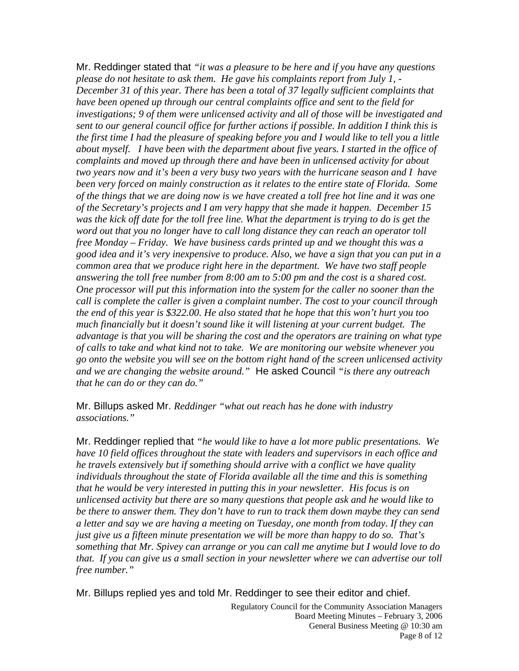Mr. Reddinger stated that *"it was a pleasure to be here and if you have any questions please do not hesitate to ask them. He gave his complaints report from July 1, - December 31 of this year. There has been a total of 37 legally sufficient complaints that have been opened up through our central complaints office and sent to the field for investigations; 9 of them were unlicensed activity and all of those will be investigated and sent to our general council office for further actions if possible. In addition I think this is the first time I had the pleasure of speaking before you and I would like to tell you a little about myself. I have been with the department about five years. I started in the office of complaints and moved up through there and have been in unlicensed activity for about two years now and it's been a very busy two years with the hurricane season and I have been very forced on mainly construction as it relates to the entire state of Florida. Some of the things that we are doing now is we have created a toll free hot line and it was one of the Secretary's projects and I am very happy that she made it happen. December 15 was the kick off date for the toll free line. What the department is trying to do is get the word out that you no longer have to call long distance they can reach an operator toll free Monday – Friday. We have business cards printed up and we thought this was a good idea and it's very inexpensive to produce. Also, we have a sign that you can put in a common area that we produce right here in the department. We have two staff people answering the toll free number from 8:00 am to 5:00 pm and the cost is a shared cost. One processor will put this information into the system for the caller no sooner than the call is complete the caller is given a complaint number. The cost to your council through the end of this year is \$322.00. He also stated that he hope that this won't hurt you too much financially but it doesn't sound like it will listening at your current budget. The advantage is that you will be sharing the cost and the operators are training on what type of calls to take and what kind not to take. We are monitoring our website whenever you go onto the website you will see on the bottom right hand of the screen unlicensed activity and we are changing the website around."* He asked Council *"is there any outreach that he can do or they can do."* 

Mr. Billups asked Mr. *Reddinger "what out reach has he done with industry associations."* 

Mr. Reddinger replied that *"he would like to have a lot more public presentations. We have 10 field offices throughout the state with leaders and supervisors in each office and he travels extensively but if something should arrive with a conflict we have quality individuals throughout the state of Florida available all the time and this is something that he would be very interested in putting this in your newsletter. His focus is on unlicensed activity but there are so many questions that people ask and he would like to be there to answer them. They don't have to run to track them down maybe they can send a letter and say we are having a meeting on Tuesday, one month from today. If they can just give us a fifteen minute presentation we will be more than happy to do so. That's something that Mr. Spivey can arrange or you can call me anytime but I would love to do that. If you can give us a small section in your newsletter where we can advertise our toll free number."* 

Mr. Billups replied yes and told Mr. Reddinger to see their editor and chief.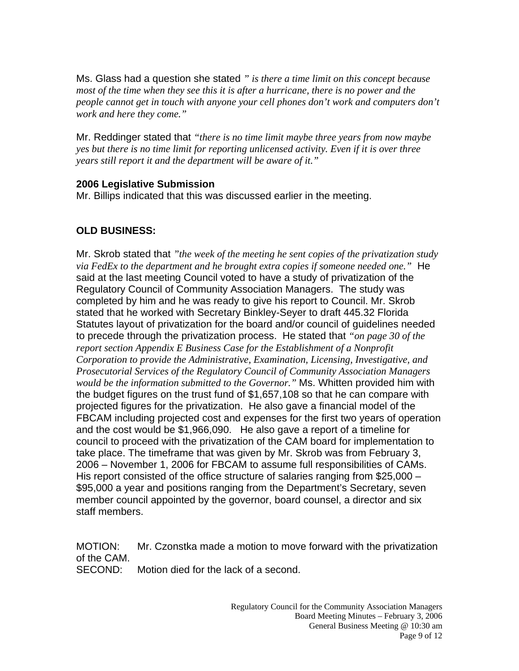Ms. Glass had a question she stated *" is there a time limit on this concept because most of the time when they see this it is after a hurricane, there is no power and the people cannot get in touch with anyone your cell phones don't work and computers don't work and here they come."* 

Mr. Reddinger stated that *"there is no time limit maybe three years from now maybe yes but there is no time limit for reporting unlicensed activity. Even if it is over three years still report it and the department will be aware of it."* 

#### **2006 Legislative Submission**

Mr. Billips indicated that this was discussed earlier in the meeting.

# **OLD BUSINESS:**

Mr. Skrob stated that *"the week of the meeting he sent copies of the privatization study via FedEx to the department and he brought extra copies if someone needed one."* He said at the last meeting Council voted to have a study of privatization of the Regulatory Council of Community Association Managers. The study was completed by him and he was ready to give his report to Council. Mr. Skrob stated that he worked with Secretary Binkley-Seyer to draft 445.32 Florida Statutes layout of privatization for the board and/or council of guidelines needed to precede through the privatization process. He stated that *"on page 30 of the report section Appendix E Business Case for the Establishment of a Nonprofit Corporation to provide the Administrative, Examination, Licensing, Investigative, and Prosecutorial Services of the Regulatory Council of Community Association Managers would be the information submitted to the Governor."* Ms. Whitten provided him with the budget figures on the trust fund of \$1,657,108 so that he can compare with projected figures for the privatization. He also gave a financial model of the FBCAM including projected cost and expenses for the first two years of operation and the cost would be \$1,966,090. He also gave a report of a timeline for council to proceed with the privatization of the CAM board for implementation to take place. The timeframe that was given by Mr. Skrob was from February 3, 2006 – November 1, 2006 for FBCAM to assume full responsibilities of CAMs. His report consisted of the office structure of salaries ranging from \$25,000 – \$95,000 a year and positions ranging from the Department's Secretary, seven member council appointed by the governor, board counsel, a director and six staff members.

MOTION: Mr. Czonstka made a motion to move forward with the privatization of the CAM. SECOND: Motion died for the lack of a second.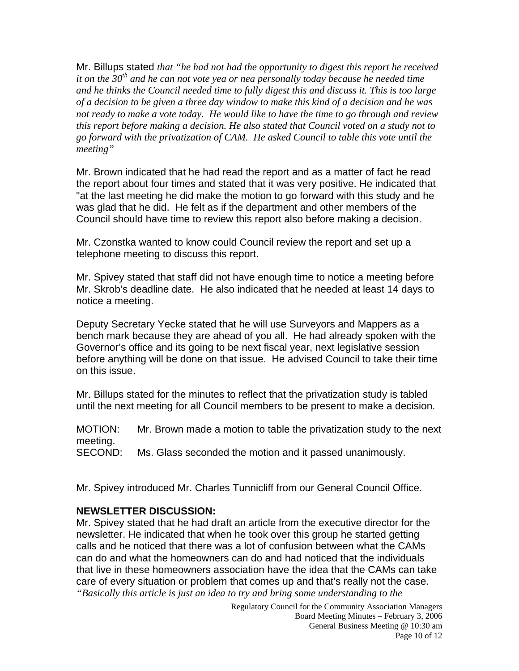Mr. Billups stated *that "he had not had the opportunity to digest this report he received it on the 30<sup>th</sup> and he can not vote yea or nea personally today because he needed time and he thinks the Council needed time to fully digest this and discuss it. This is too large of a decision to be given a three day window to make this kind of a decision and he was not ready to make a vote today. He would like to have the time to go through and review this report before making a decision. He also stated that Council voted on a study not to go forward with the privatization of CAM. He asked Council to table this vote until the meeting"* 

Mr. Brown indicated that he had read the report and as a matter of fact he read the report about four times and stated that it was very positive. He indicated that "at the last meeting he did make the motion to go forward with this study and he was glad that he did. He felt as if the department and other members of the Council should have time to review this report also before making a decision.

Mr. Czonstka wanted to know could Council review the report and set up a telephone meeting to discuss this report.

Mr. Spivey stated that staff did not have enough time to notice a meeting before Mr. Skrob's deadline date. He also indicated that he needed at least 14 days to notice a meeting.

Deputy Secretary Yecke stated that he will use Surveyors and Mappers as a bench mark because they are ahead of you all. He had already spoken with the Governor's office and its going to be next fiscal year, next legislative session before anything will be done on that issue. He advised Council to take their time on this issue.

Mr. Billups stated for the minutes to reflect that the privatization study is tabled until the next meeting for all Council members to be present to make a decision.

MOTION: Mr. Brown made a motion to table the privatization study to the next meeting.

SECOND: Ms. Glass seconded the motion and it passed unanimously.

Mr. Spivey introduced Mr. Charles Tunnicliff from our General Council Office.

#### **NEWSLETTER DISCUSSION:**

Mr. Spivey stated that he had draft an article from the executive director for the newsletter. He indicated that when he took over this group he started getting calls and he noticed that there was a lot of confusion between what the CAMs can do and what the homeowners can do and had noticed that the individuals that live in these homeowners association have the idea that the CAMs can take care of every situation or problem that comes up and that's really not the case. *"Basically this article is just an idea to try and bring some understanding to the*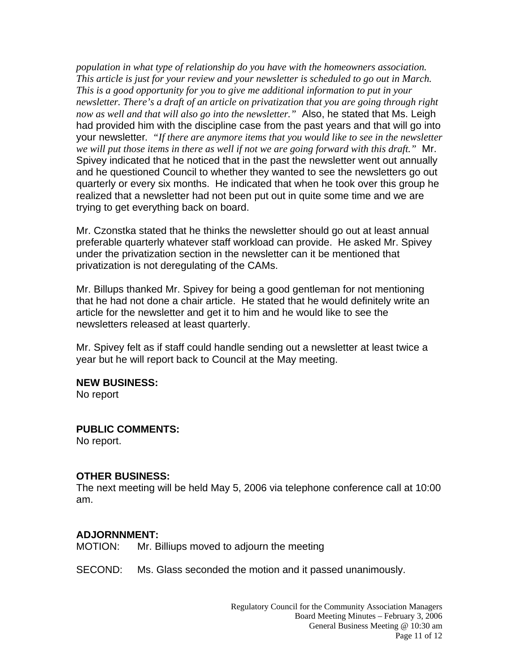*population in what type of relationship do you have with the homeowners association. This article is just for your review and your newsletter is scheduled to go out in March. This is a good opportunity for you to give me additional information to put in your newsletter. There's a draft of an article on privatization that you are going through right now as well and that will also go into the newsletter."* Also, he stated that Ms. Leigh had provided him with the discipline case from the past years and that will go into your newsletter*. "If there are anymore items that you would like to see in the newsletter we will put those items in there as well if not we are going forward with this draft."* Mr. Spivey indicated that he noticed that in the past the newsletter went out annually and he questioned Council to whether they wanted to see the newsletters go out quarterly or every six months. He indicated that when he took over this group he realized that a newsletter had not been put out in quite some time and we are trying to get everything back on board.

Mr. Czonstka stated that he thinks the newsletter should go out at least annual preferable quarterly whatever staff workload can provide. He asked Mr. Spivey under the privatization section in the newsletter can it be mentioned that privatization is not deregulating of the CAMs.

Mr. Billups thanked Mr. Spivey for being a good gentleman for not mentioning that he had not done a chair article. He stated that he would definitely write an article for the newsletter and get it to him and he would like to see the newsletters released at least quarterly.

Mr. Spivey felt as if staff could handle sending out a newsletter at least twice a year but he will report back to Council at the May meeting.

#### **NEW BUSINESS:**

No report

#### **PUBLIC COMMENTS:**

No report.

#### **OTHER BUSINESS:**

The next meeting will be held May 5, 2006 via telephone conference call at 10:00 am.

#### **ADJORNNMENT:**

MOTION: Mr. Billiups moved to adjourn the meeting

SECOND: Ms. Glass seconded the motion and it passed unanimously.